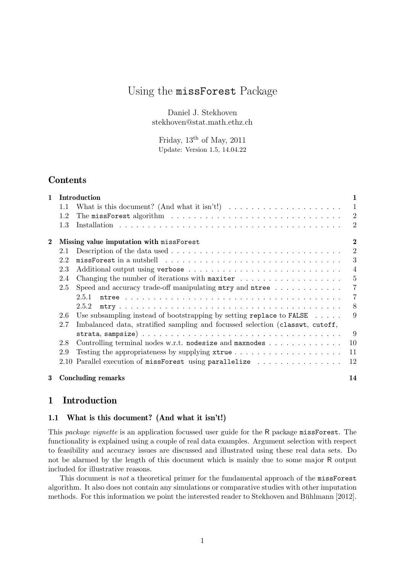# Using the missForest Package

Daniel J. Stekhoven stekhoven@stat.math.ethz.ch

Friday,  $13<sup>th</sup>$  of May,  $2011$ Update: Version 1.5, 14.04.22

# **Contents**

| $\mathbf{1}$ |                                                              | Introduction                                                                                                          |                |
|--------------|--------------------------------------------------------------|-----------------------------------------------------------------------------------------------------------------------|----------------|
|              | 1.1                                                          | What is this document? (And what it isn't!) $\dots \dots \dots \dots \dots \dots \dots \dots \dots \dots \dots \dots$ |                |
|              | 1.2                                                          | The missForest algorithm $\dots \dots \dots \dots \dots \dots \dots \dots \dots \dots \dots \dots$                    | $\overline{2}$ |
|              | 1.3                                                          |                                                                                                                       | $\overline{2}$ |
| $\mathbf{2}$ | $\boldsymbol{2}$<br>Missing value imputation with missForest |                                                                                                                       |                |
|              | 2.1                                                          |                                                                                                                       | $\overline{2}$ |
|              | 2.2                                                          |                                                                                                                       | 3              |
|              | 2.3                                                          |                                                                                                                       | $\overline{4}$ |
|              | 2.4                                                          | Changing the number of iterations with maxiter $\dots \dots \dots \dots \dots \dots$                                  | 5              |
|              | 2.5                                                          | Speed and accuracy trade-off manipulating $mtry$ and $ntree$                                                          | $\overline{7}$ |
|              |                                                              | 2.5.1                                                                                                                 | $\overline{7}$ |
|              |                                                              | 2.5.2                                                                                                                 | 8              |
|              | 2.6                                                          | Use subsampling instead of bootstrapping by setting replace to FALSE                                                  | 9              |
|              | 2.7                                                          | Imbalanced data, stratified sampling and focussed selection (classwt, cutoff,                                         |                |
|              |                                                              |                                                                                                                       | -9             |
|              | 2.8                                                          | Controlling terminal nodes w.r.t. nodesize and maxnodes $\dots \dots \dots \dots$                                     | 10             |
|              | 2.9                                                          |                                                                                                                       | 11             |
|              |                                                              | 2.10 Parallel execution of missForest using parallelize                                                               | 12             |
| $\bf{3}$     |                                                              | <b>Concluding remarks</b>                                                                                             | 14             |

# 1 Introduction

### 1.1 What is this document? (And what it isn't!)

This package vignette is an application focussed user guide for the R package missForest. The functionality is explained using a couple of real data examples. Argument selection with respect to feasibility and accuracy issues are discussed and illustrated using these real data sets. Do not be alarmed by the length of this document which is mainly due to some major R output included for illustrative reasons.

This document is not a theoretical primer for the fundamental approach of the missForest algorithm. It also does not contain any simulations or comparative studies with other imputation methods. For this information we point the interested reader to Stekhoven and Bühlmann [2012].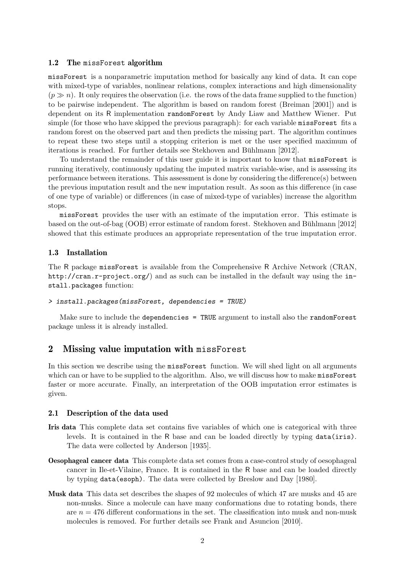#### 1.2 The missForest algorithm

missForest is a nonparametric imputation method for basically any kind of data. It can cope with mixed-type of variables, nonlinear relations, complex interactions and high dimensionality  $(p \gg n)$ . It only requires the observation (i.e. the rows of the data frame supplied to the function) to be pairwise independent. The algorithm is based on random forest (Breiman [2001]) and is dependent on its R implementation randomForest by Andy Liaw and Matthew Wiener. Put simple (for those who have skipped the previous paragraph): for each variable missForest fits a random forest on the observed part and then predicts the missing part. The algorithm continues to repeat these two steps until a stopping criterion is met or the user specified maximum of iterations is reached. For further details see Stekhoven and Bühlmann [2012].

To understand the remainder of this user guide it is important to know that missForest is running iteratively, continuously updating the imputed matrix variable-wise, and is assessing its performance between iterations. This assessment is done by considering the difference(s) between the previous imputation result and the new imputation result. As soon as this difference (in case of one type of variable) or differences (in case of mixed-type of variables) increase the algorithm stops.

missForest provides the user with an estimate of the imputation error. This estimate is based on the out-of-bag (OOB) error estimate of random forest. Stekhoven and Bühlmann [2012] showed that this estimate produces an appropriate representation of the true imputation error.

### 1.3 Installation

The R package missForest is available from the Comprehensive R Archive Network (CRAN, http://cran.r-project.org/) and as such can be installed in the default way using the install.packages function:

> install.packages(missForest, dependencies = TRUE)

Make sure to include the dependencies = TRUE argument to install also the randomForest package unless it is already installed.

# 2 Missing value imputation with missForest

In this section we describe using the missForest function. We will shed light on all arguments which can or have to be supplied to the algorithm. Also, we will discuss how to make missForest faster or more accurate. Finally, an interpretation of the OOB imputation error estimates is given.

#### 2.1 Description of the data used

- Iris data This complete data set contains five variables of which one is categorical with three levels. It is contained in the R base and can be loaded directly by typing data(iris). The data were collected by Anderson [1935].
- Oesophageal cancer data This complete data set comes from a case-control study of oesophageal cancer in Ile-et-Vilaine, France. It is contained in the R base and can be loaded directly by typing data(esoph). The data were collected by Breslow and Day [1980].
- Musk data This data set describes the shapes of 92 molecules of which 47 are musks and 45 are non-musks. Since a molecule can have many conformations due to rotating bonds, there are  $n = 476$  different conformations in the set. The classification into musk and non-musk molecules is removed. For further details see Frank and Asuncion [2010].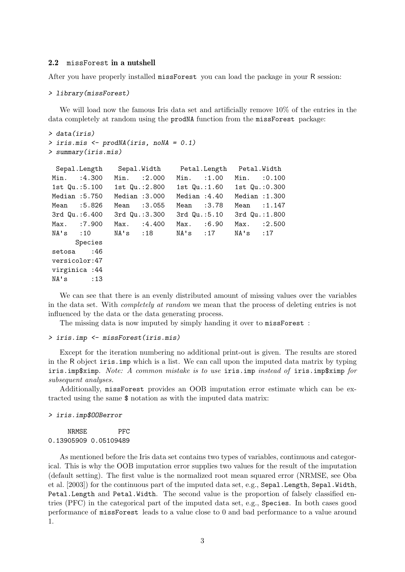#### 2.2 missForest in a nutshell

After you have properly installed missForest you can load the package in your R session:

```
> library(missForest)
```
We will load now the famous Iris data set and artificially remove  $10\%$  of the entries in the data completely at random using the prodNA function from the missForest package:

```
> data(iris)
> iris.mis <- prodNA(iris, noNA = 0.1)
> summary(iris.mis)
```

```
Sepal.Length Sepal.Width Petal.Length Petal.Width
Min. :4.300 Min. :2.000 Min. :1.00 Min. :0.100
1st Qu.:5.100 1st Qu.:2.800 1st Qu.:1.60 1st Qu.:0.300
Median :5.750 Median :3.000 Median :4.40 Median :1.300
Mean :5.826 Mean :3.055 Mean :3.78 Mean :1.147
3rd Qu.:6.400 3rd Qu.:3.300 3rd Qu.:5.10 3rd Qu.:1.800
Max. :7.900 Max. :4.400 Max. :6.90 Max. :2.500
NA's :10 NA's :18 NA's :17 NA's :17
     Species
setosa : 46
versicolor:47
virginica :44
NA's :13
```
We can see that there is an evenly distributed amount of missing values over the variables in the data set. With completely at random we mean that the process of deleting entries is not influenced by the data or the data generating process.

The missing data is now imputed by simply handing it over to missForest :

```
> iris.imp <- missForest(iris.mis)
```
Except for the iteration numbering no additional print-out is given. The results are stored in the R object iris.imp which is a list. We can call upon the imputed data matrix by typing iris.imp\$ximp. Note: A common mistake is to use iris.imp instead of iris.imp\$ximp for subsequent analyses.

Additionally, missForest provides an OOB imputation error estimate which can be extracted using the same \$ notation as with the imputed data matrix:

> iris.imp\$OOBerror

NRMSE PFC 0.13905909 0.05109489

As mentioned before the Iris data set contains two types of variables, continuous and categorical. This is why the OOB imputation error supplies two values for the result of the imputation (default setting). The first value is the normalized root mean squared error (NRMSE, see Oba et al. [2003]) for the continuous part of the imputed data set, e.g., Sepal.Length, Sepal.Width, Petal.Length and Petal.Width. The second value is the proportion of falsely classified entries (PFC) in the categorical part of the imputed data set, e.g., Species. In both cases good performance of missForest leads to a value close to 0 and bad performance to a value around 1.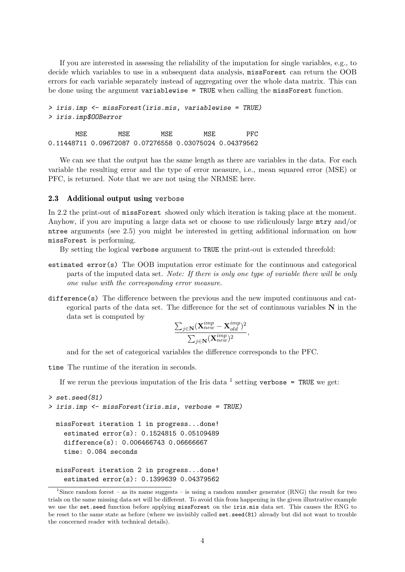If you are interested in assessing the reliability of the imputation for single variables, e.g., to decide which variables to use in a subsequent data analysis, missForest can return the OOB errors for each variable separately instead of aggregating over the whole data matrix. This can be done using the argument variablewise = TRUE when calling the missForest function.

```
> iris.imp <- missForest(iris.mis, variablewise = TRUE)
> iris.imp$OOBerror
```
MSE MSE MSE MSE PFC 0.11448711 0.09672087 0.07276558 0.03075024 0.04379562

We can see that the output has the same length as there are variables in the data. For each variable the resulting error and the type of error measure, i.e., mean squared error (MSE) or PFC, is returned. Note that we are not using the NRMSE here.

### 2.3 Additional output using verbose

In 2.2 the print-out of missForest showed only which iteration is taking place at the moment. Anyhow, if you are imputing a large data set or choose to use ridiculously large mtry and/or ntree arguments (see 2.5) you might be interested in getting additional information on how missForest is performing.

By setting the logical verbose argument to TRUE the print-out is extended threefold:

- estimated error(s) The OOB imputation error estimate for the continuous and categorical parts of the imputed data set. Note: If there is only one type of variable there will be only one value with the corresponding error measure.
- difference(s) The difference between the previous and the new imputed continuous and categorical parts of the data set. The difference for the set of continuous variables  $N$  in the data set is computed by

$$
\frac{\sum_{j\in \mathbf{N}}(\mathbf{X}^{imp}_{new}-\mathbf{X}^{imp}_{old})^2}{\sum_{j\in \mathbf{N}}(\mathbf{X}^{imp}_{new})^2},
$$

and for the set of categorical variables the difference corresponds to the PFC.

time The runtime of the iteration in seconds.

If we rerun the previous imputation of the Iris data  $^1$  setting verbose = TRUE we get:

```
> set.seed(81)
> iris.imp <- missForest(iris.mis, verbose = TRUE)
 missForest iteration 1 in progress...done!
    estimated error(s): 0.1524815 0.05109489
    difference(s): 0.006466743 0.06666667
    time: 0.084 seconds
 missForest iteration 2 in progress...done!
    estimated error(s): 0.1399639 0.04379562
```
<sup>&</sup>lt;sup>1</sup>Since random forest – as its name suggests – is using a random number generator (RNG) the result for two trials on the same missing data set will be different. To avoid this from happening in the given illustrative example we use the set.seed function before applying missForest on the iris.mis data set. This causes the RNG to be reset to the same state as before (where we invisibly called set.seed(81) already but did not want to trouble the concerned reader with technical details).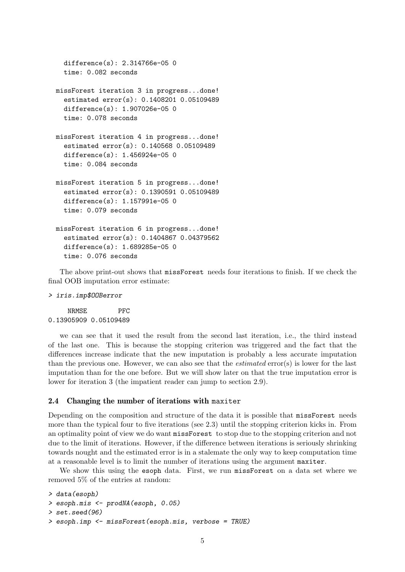```
difference(s): 2.314766e-05 0
  time: 0.082 seconds
missForest iteration 3 in progress...done!
  estimated error(s): 0.1408201 0.05109489
  difference(s): 1.907026e-05 0
  time: 0.078 seconds
missForest iteration 4 in progress...done!
  estimated error(s): 0.140568 0.05109489
  difference(s): 1.456924e-05 0
  time: 0.084 seconds
missForest iteration 5 in progress...done!
  estimated error(s): 0.1390591 0.05109489
  difference(s): 1.157991e-05 0
  time: 0.079 seconds
missForest iteration 6 in progress...done!
  estimated error(s): 0.1404867 0.04379562
  difference(s): 1.689285e-05 0
  time: 0.076 seconds
```
The above print-out shows that missForest needs four iterations to finish. If we check the final OOB imputation error estimate:

#### > iris.imp\$OOBerror

NRMSE PFC 0.13905909 0.05109489

we can see that it used the result from the second last iteration, i.e., the third instead of the last one. This is because the stopping criterion was triggered and the fact that the differences increase indicate that the new imputation is probably a less accurate imputation than the previous one. However, we can also see that the estimated error(s) is lower for the last imputation than for the one before. But we will show later on that the true imputation error is lower for iteration 3 (the impatient reader can jump to section 2.9).

#### 2.4 Changing the number of iterations with maxiter

Depending on the composition and structure of the data it is possible that missForest needs more than the typical four to five iterations (see 2.3) until the stopping criterion kicks in. From an optimality point of view we do want missForest to stop due to the stopping criterion and not due to the limit of iterations. However, if the difference between iterations is seriously shrinking towards nought and the estimated error is in a stalemate the only way to keep computation time at a reasonable level is to limit the number of iterations using the argument maxiter.

We show this using the esoph data. First, we run missForest on a data set where we removed 5% of the entries at random:

```
> data(esoph)
> esoph.mis <- prodNA(esoph, 0.05)
> set.seed(96)
> esoph.imp <- missForest(esoph.mis, verbose = TRUE)
```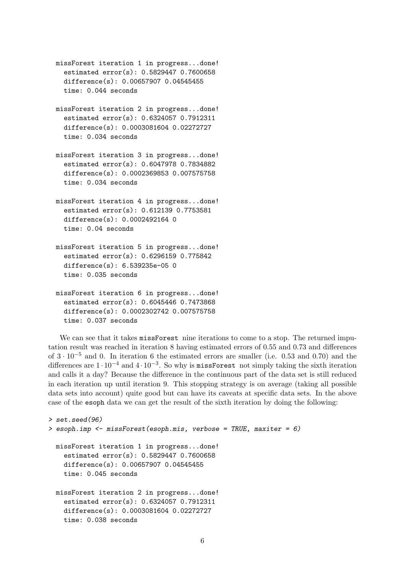- missForest iteration 1 in progress...done! estimated error(s): 0.5829447 0.7600658 difference(s): 0.00657907 0.04545455 time: 0.044 seconds
- missForest iteration 2 in progress...done! estimated error(s): 0.6324057 0.7912311 difference(s): 0.0003081604 0.02272727 time: 0.034 seconds
- missForest iteration 3 in progress...done! estimated error(s): 0.6047978 0.7834882 difference(s): 0.0002369853 0.007575758 time: 0.034 seconds
- missForest iteration 4 in progress...done! estimated error(s): 0.612139 0.7753581 difference(s): 0.0002492164 0 time: 0.04 seconds
- missForest iteration 5 in progress...done! estimated error(s): 0.6296159 0.775842 difference(s): 6.539235e-05 0 time: 0.035 seconds
- missForest iteration 6 in progress...done! estimated error(s): 0.6045446 0.7473868 difference(s): 0.0002302742 0.007575758 time: 0.037 seconds

We can see that it takes missForest nine iterations to come to a stop. The returned imputation result was reached in iteration 8 having estimated errors of 0.55 and 0.73 and differences of 3 · 10−<sup>5</sup> and 0. In iteration 6 the estimated errors are smaller (i.e. 0.53 and 0.70) and the differences are  $1 \cdot 10^{-4}$  and  $4 \cdot 10^{-3}$ . So why is missForest not simply taking the sixth iteration and calls it a day? Because the difference in the continuous part of the data set is still reduced in each iteration up until iteration 9. This stopping strategy is on average (taking all possible data sets into account) quite good but can have its caveats at specific data sets. In the above case of the esoph data we can get the result of the sixth iteration by doing the following:

```
> set.seed(96)
> esoph.imp <- missForest(esoph.mis, verbose = TRUE, maxiter = 6)
 missForest iteration 1 in progress...done!
    estimated error(s): 0.5829447 0.7600658
    difference(s): 0.00657907 0.04545455
    time: 0.045 seconds
 missForest iteration 2 in progress...done!
    estimated error(s): 0.6324057 0.7912311
    difference(s): 0.0003081604 0.02272727
    time: 0.038 seconds
```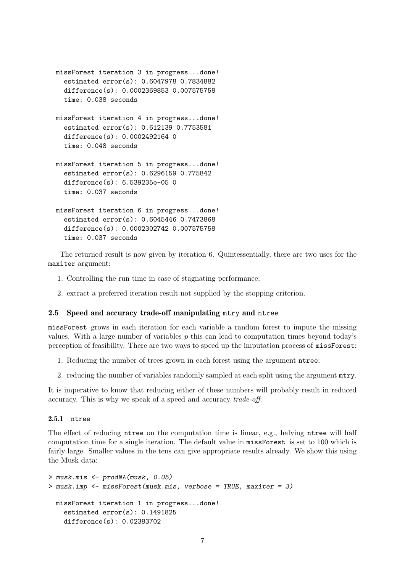```
missForest iteration 3 in progress...done!
  estimated error(s): 0.6047978 0.7834882
  difference(s): 0.0002369853 0.007575758
  time: 0.038 seconds
missForest iteration 4 in progress...done!
  estimated error(s): 0.612139 0.7753581
  difference(s): 0.0002492164 0
  time: 0.048 seconds
missForest iteration 5 in progress...done!
  estimated error(s): 0.6296159 0.775842
  difference(s): 6.539235e-05 0
  time: 0.037 seconds
missForest iteration 6 in progress...done!
  estimated error(s): 0.6045446 0.7473868
  difference(s): 0.0002302742 0.007575758
  time: 0.037 seconds
```
The returned result is now given by iteration 6. Quintessentially, there are two uses for the maxiter argument:

- 1. Controlling the run time in case of stagnating performance;
- 2. extract a preferred iteration result not supplied by the stopping criterion.

#### 2.5 Speed and accuracy trade-off manipulating mtry and ntree

missForest grows in each iteration for each variable a random forest to impute the missing values. With a large number of variables  $p$  this can lead to computation times beyond today's perception of feasibility. There are two ways to speed up the imputation process of missForest:

- 1. Reducing the number of trees grown in each forest using the argument ntree;
- 2. reducing the number of variables randomly sampled at each split using the argument mtry.

It is imperative to know that reducing either of these numbers will probably result in reduced accuracy. This is why we speak of a speed and accuracy trade-off.

#### 2.5.1 ntree

The effect of reducing ntree on the computation time is linear, e.g., halving ntree will half computation time for a single iteration. The default value in missForest is set to 100 which is fairly large. Smaller values in the tens can give appropriate results already. We show this using the Musk data:

```
> musk.mis <- prodNA(musk, 0.05)
> musk.imp <- missForest(musk.mis, verbose = TRUE, maxiter = 3)
 missForest iteration 1 in progress...done!
    estimated error(s): 0.1491825
    difference(s): 0.02383702
```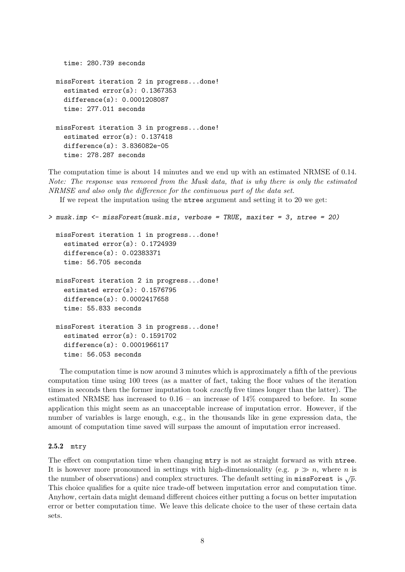```
time: 280.739 seconds
missForest iteration 2 in progress...done!
  estimated error(s): 0.1367353
  difference(s): 0.0001208087
  time: 277.011 seconds
missForest iteration 3 in progress...done!
  estimated error(s): 0.137418
  difference(s): 3.836082e-05
  time: 278.287 seconds
```
The computation time is about 14 minutes and we end up with an estimated NRMSE of 0.14. Note: The response was removed from the Musk data, that is why there is only the estimated NRMSE and also only the difference for the continuous part of the data set.

If we repeat the imputation using the ntree argument and setting it to 20 we get:

```
> musk.imp <- missForest(musk.mis, verbose = TRUE, maxiter = 3, ntree = 20)
 missForest iteration 1 in progress...done!
    estimated error(s): 0.1724939
    difference(s): 0.02383371
    time: 56.705 seconds
 missForest iteration 2 in progress...done!
    estimated error(s): 0.1576795
    difference(s): 0.0002417658
    time: 55.833 seconds
 missForest iteration 3 in progress...done!
    estimated error(s): 0.1591702
    difference(s): 0.0001966117
    time: 56.053 seconds
```
The computation time is now around 3 minutes which is approximately a fifth of the previous computation time using 100 trees (as a matter of fact, taking the floor values of the iteration times in seconds then the former imputation took *exactly* five times longer than the latter). The estimated NRMSE has increased to 0.16 – an increase of 14% compared to before. In some application this might seem as an unacceptable increase of imputation error. However, if the number of variables is large enough, e.g., in the thousands like in gene expression data, the amount of computation time saved will surpass the amount of imputation error increased.

#### 2.5.2 mtry

The effect on computation time when changing mtry is not as straight forward as with ntree. It is however more pronounced in settings with high-dimensionality (e.g.  $p \gg n$ , where n is the number of observations) and complex structures. The default setting in missForest is  $\sqrt{p}$ . This choice qualifies for a quite nice trade-off between imputation error and computation time. Anyhow, certain data might demand different choices either putting a focus on better imputation error or better computation time. We leave this delicate choice to the user of these certain data sets.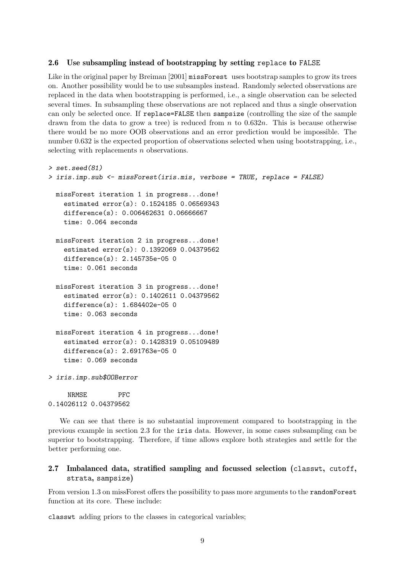### 2.6 Use subsampling instead of bootstrapping by setting replace to FALSE

Like in the original paper by Breiman [2001] missForest uses bootstrap samples to grow its trees on. Another possibility would be to use subsamples instead. Randomly selected observations are replaced in the data when bootstrapping is performed, i.e., a single observation can be selected several times. In subsampling these observations are not replaced and thus a single observation can only be selected once. If replace=FALSE then sampsize (controlling the size of the sample drawn from the data to grow a tree) is reduced from n to  $0.632n$ . This is because otherwise there would be no more OOB observations and an error prediction would be impossible. The number 0.632 is the expected proportion of observations selected when using bootstrapping, i.e., selecting with replacements *n* observations.

```
> set.seed(81)
> iris.imp.sub <- missForest(iris.mis, verbose = TRUE, replace = FALSE)
 missForest iteration 1 in progress...done!
    estimated error(s): 0.1524185 0.06569343
    difference(s): 0.006462631 0.06666667
    time: 0.064 seconds
 missForest iteration 2 in progress...done!
    estimated error(s): 0.1392069 0.04379562
    difference(s): 2.145735e-05 0
    time: 0.061 seconds
 missForest iteration 3 in progress...done!
    estimated error(s): 0.1402611 0.04379562
    difference(s): 1.684402e-05 0
    time: 0.063 seconds
 missForest iteration 4 in progress...done!
    estimated error(s): 0.1428319 0.05109489
    difference(s): 2.691763e-05 0
    time: 0.069 seconds
> iris.imp.sub$OOBerror
     NRMSE PFC
0.14026112 0.04379562
```
We can see that there is no substantial improvement compared to bootstrapping in the previous example in section 2.3 for the iris data. However, in some cases subsampling can be superior to bootstrapping. Therefore, if time allows explore both strategies and settle for the better performing one.

### 2.7 Imbalanced data, stratified sampling and focussed selection (classwt, cutoff, strata, sampsize)

From version 1.3 on missForest offers the possibility to pass more arguments to the randomForest function at its core. These include:

classwt adding priors to the classes in categorical variables;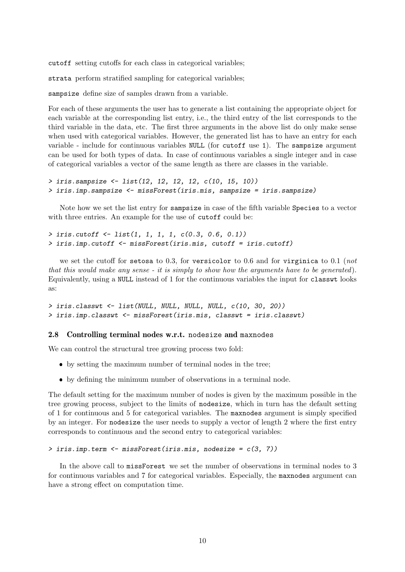cutoff setting cutoffs for each class in categorical variables;

strata perform stratified sampling for categorical variables;

sampsize define size of samples drawn from a variable.

For each of these arguments the user has to generate a list containing the appropriate object for each variable at the corresponding list entry, i.e., the third entry of the list corresponds to the third variable in the data, etc. The first three arguments in the above list do only make sense when used with categorical variables. However, the generated list has to have an entry for each variable - include for continuous variables NULL (for cutoff use 1). The sampsize argument can be used for both types of data. In case of continuous variables a single integer and in case of categorical variables a vector of the same length as there are classes in the variable.

```
> iris.sampsize <- list(12, 12, 12, 12, c(10, 15, 10))
> iris.imp.sampsize <- missForest(iris.mis, sampsize = iris.sampsize)
```
Note how we set the list entry for sampsize in case of the fifth variable Species to a vector with three entries. An example for the use of cutoff could be:

```
> iris.cutoff \le list(1, 1, 1, 1, c(0.3, 0.6, 0.1))
> iris.imp.cutoff <- missForest(iris.mis, cutoff = iris.cutoff)
```
we set the cutoff for setosa to 0.3, for versicolor to 0.6 and for virginica to 0.1 (not that this would make any sense - it is simply to show how the arguments have to be generated). Equivalently, using a NULL instead of 1 for the continuous variables the input for classwt looks as:

```
> iris.classwt <- list(NULL, NULL, NULL, NULL, c(10, 30, 20))
> iris.imp.classwt <- missForest(iris.mis, classwt = iris.classwt)
```
#### 2.8 Controlling terminal nodes w.r.t. nodesize and maxnodes

We can control the structural tree growing process two fold:

- by setting the maximum number of terminal nodes in the tree;
- by defining the minimum number of observations in a terminal node.

The default setting for the maximum number of nodes is given by the maximum possible in the tree growing process, subject to the limits of nodesize, which in turn has the default setting of 1 for continuous and 5 for categorical variables. The maxnodes argument is simply specified by an integer. For nodesize the user needs to supply a vector of length 2 where the first entry corresponds to continuous and the second entry to categorical variables:

```
> iris.imp.term \leq missForest(iris.mis, nodesize = c(3, 7))
```
In the above call to missForest we set the number of observations in terminal nodes to 3 for continuous variables and 7 for categorical variables. Especially, the maxnodes argument can have a strong effect on computation time.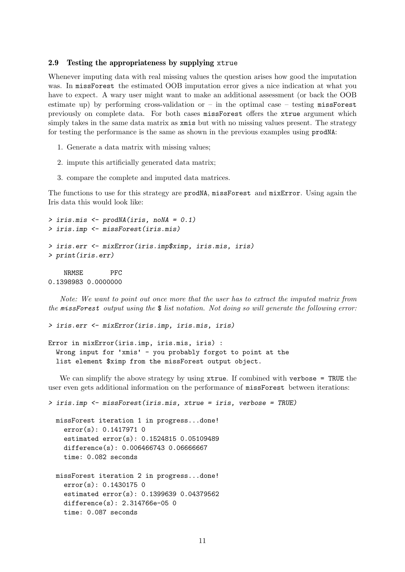#### 2.9 Testing the appropriateness by supplying xtrue

Whenever imputing data with real missing values the question arises how good the imputation was. In missForest the estimated OOB imputation error gives a nice indication at what you have to expect. A wary user might want to make an additional assessment (or back the OOB estimate up) by performing cross-validation or – in the optimal case – testing  $mis$ sForest previously on complete data. For both cases missForest offers the xtrue argument which simply takes in the same data matrix as  $x$ mis but with no missing values present. The strategy for testing the performance is the same as shown in the previous examples using prodNA:

- 1. Generate a data matrix with missing values;
- 2. impute this artificially generated data matrix;
- 3. compare the complete and imputed data matrices.

The functions to use for this strategy are prodNA, missForest and mixError. Using again the Iris data this would look like:

```
> iris.mis <- prodNA(iris, noNA = 0.1)
> iris.imp <- missForest(iris.mis)
> iris.err <- mixError(iris.imp$ximp, iris.mis, iris)
> print(iris.err)
    NRMSE PFC
0.1398983 0.0000000
```
Note: We want to point out once more that the user has to extract the imputed matrix from the missForest output using the  $\frac{1}{2}$  list notation. Not doing so will generate the following error:

```
> iris.err <- mixError(iris.imp, iris.mis, iris)
```

```
Error in mixError(iris.imp, iris.mis, iris) :
 Wrong input for 'xmis' - you probably forgot to point at the
 list element $ximp from the missForest output object.
```
We can simplify the above strategy by using **xtrue**. If combined with verbose = TRUE the user even gets additional information on the performance of missForest between iterations:

```
> iris.imp <- missForest(iris.mis, xtrue = iris, verbose = TRUE)
```

```
missForest iteration 1 in progress...done!
  error(s): 0.1417971 0
  estimated error(s): 0.1524815 0.05109489
  difference(s): 0.006466743 0.06666667
  time: 0.082 seconds
missForest iteration 2 in progress...done!
  error(s): 0.1430175 0
  estimated error(s): 0.1399639 0.04379562
  difference(s): 2.314766e-05 0
```
time: 0.087 seconds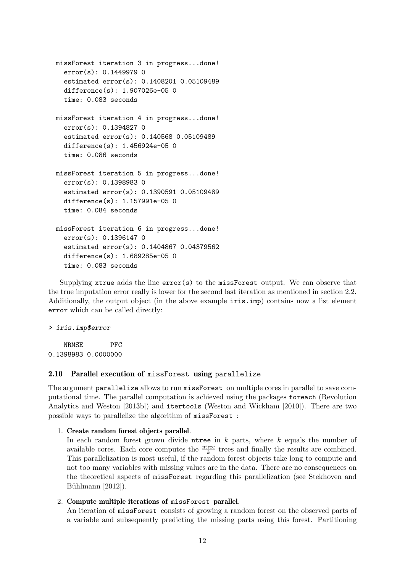```
missForest iteration 3 in progress...done!
  error(s): 0.1449979 0
  estimated error(s): 0.1408201 0.05109489
  difference(s): 1.907026e-05 0
  time: 0.083 seconds
missForest iteration 4 in progress...done!
  error(s): 0.1394827 0
  estimated error(s): 0.140568 0.05109489
  difference(s): 1.456924e-05 0
  time: 0.086 seconds
missForest iteration 5 in progress...done!
  error(s): 0.1398983 0
  estimated error(s): 0.1390591 0.05109489
  difference(s): 1.157991e-05 0
  time: 0.084 seconds
missForest iteration 6 in progress...done!
  error(s): 0.1396147 0
  estimated error(s): 0.1404867 0.04379562
  difference(s): 1.689285e-05 0
  time: 0.083 seconds
```
Supplying xtrue adds the line error(s) to the missForest output. We can observe that the true imputation error really is lower for the second last iteration as mentioned in section 2.2. Additionally, the output object (in the above example iris.imp) contains now a list element error which can be called directly:

#### > iris.imp\$error

NRMSE PFC 0.1398983 0.0000000

### 2.10 Parallel execution of missForest using parallelize

The argument parallelize allows to run missForest on multiple cores in parallel to save computational time. The parallel computation is achieved using the packages foreach (Revolution Analytics and Weston [2013b]) and itertools (Weston and Wickham [2010]). There are two possible ways to parallelize the algorithm of missForest :

#### 1. Create random forest objects parallel.

In each random forest grown divide  $n$  atrice in k parts, where k equals the number of available cores. Each core computes the  $\frac{n\text{tree}}{k}$  trees and finally the results are combined. This parallelization is most useful, if the random forest objects take long to compute and not too many variables with missing values are in the data. There are no consequences on the theoretical aspects of missForest regarding this parallelization (see Stekhoven and Bühlmann  $[2012]$ ).

### 2. Compute multiple iterations of missForest parallel.

An iteration of missForest consists of growing a random forest on the observed parts of a variable and subsequently predicting the missing parts using this forest. Partitioning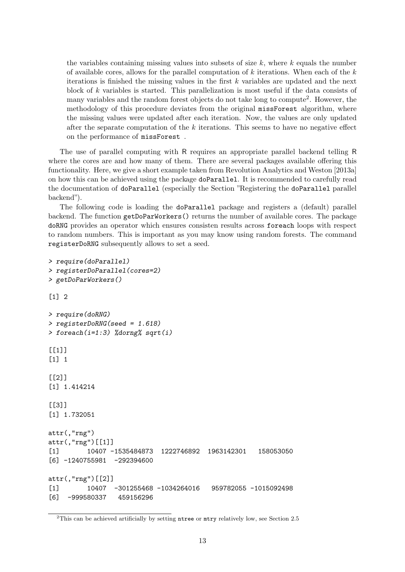the variables containing missing values into subsets of size  $k$ , where  $k$  equals the number of available cores, allows for the parallel computation of  $k$  iterations. When each of the  $k$ iterations is finished the missing values in the first k variables are updated and the next block of k variables is started. This parallelization is most useful if the data consists of many variables and the random forest objects do not take long to compute<sup>2</sup>. However, the methodology of this procedure deviates from the original missForest algorithm, where the missing values were updated after each iteration. Now, the values are only updated after the separate computation of the  $k$  iterations. This seems to have no negative effect on the performance of missForest .

The use of parallel computing with R requires an appropriate parallel backend telling R where the cores are and how many of them. There are several packages available offering this functionality. Here, we give a short example taken from Revolution Analytics and Weston [2013a] on how this can be achieved using the package doParallel. It is recommended to carefully read the documentation of doParallel (especially the Section "Registering the doParallel parallel backend").

The following code is loading the doParallel package and registers a (default) parallel backend. The function getDoParWorkers() returns the number of available cores. The package doRNG provides an operator which ensures consisten results across foreach loops with respect to random numbers. This is important as you may know using random forests. The command registerDoRNG subsequently allows to set a seed.

```
> require(doParallel)
> registerDoParallel(cores=2)
> getDoParWorkers()
[1] 2
> require(doRNG)
> registerDoRNG(seed = 1.618)
> foreach(i=1:3) %dorng% sqrt(i)
[[1]]
[1] 1
\lceil[2]]
[1] 1.414214
[[3]]
[1] 1.732051
attr(,"rng")
attr(,"rng")[[1]]
[1] 10407 -1535484873 1222746892 1963142301 158053050
[6] -1240755981 -292394600
attr(,"rng")[[2]]
[1] 10407 -301255468 -1034264016 959782055 -1015092498
[6] -999580337 459156296
```
<sup>&</sup>lt;sup>2</sup>This can be achieved artificially by setting ntree or mtry relatively low, see Section 2.5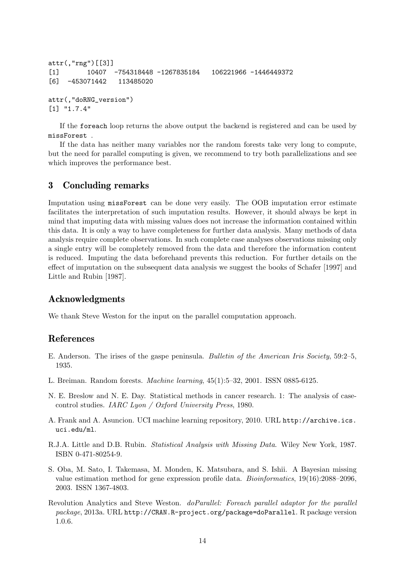```
attr(,"rng")[[3]]
[1] 10407 -754318448 -1267835184 106221966 -1446449372
[6] -453071442 113485020
attr(,"doRNG_version")
[1] "1.7.4"
```
If the foreach loop returns the above output the backend is registered and can be used by missForest .

If the data has neither many variables nor the random forests take very long to compute, but the need for parallel computing is given, we recommend to try both parallelizations and see which improves the performance best.

# 3 Concluding remarks

Imputation using missForest can be done very easily. The OOB imputation error estimate facilitates the interpretation of such imputation results. However, it should always be kept in mind that imputing data with missing values does not increase the information contained within this data. It is only a way to have completeness for further data analysis. Many methods of data analysis require complete observations. In such complete case analyses observations missing only a single entry will be completely removed from the data and therefore the information content is reduced. Imputing the data beforehand prevents this reduction. For further details on the effect of imputation on the subsequent data analysis we suggest the books of Schafer [1997] and Little and Rubin [1987].

# Acknowledgments

We thank Steve Weston for the input on the parallel computation approach.

# References

- E. Anderson. The irises of the gaspe peninsula. Bulletin of the American Iris Society, 59:2–5, 1935.
- L. Breiman. Random forests. Machine learning, 45(1):5–32, 2001. ISSN 0885-6125.
- N. E. Breslow and N. E. Day. Statistical methods in cancer research. 1: The analysis of casecontrol studies. IARC Lyon / Oxford University Press, 1980.
- A. Frank and A. Asuncion. UCI machine learning repository, 2010. URL http://archive.ics. uci.edu/ml.
- R.J.A. Little and D.B. Rubin. Statistical Analysis with Missing Data. Wiley New York, 1987. ISBN 0-471-80254-9.
- S. Oba, M. Sato, I. Takemasa, M. Monden, K. Matsubara, and S. Ishii. A Bayesian missing value estimation method for gene expression profile data. Bioinformatics, 19(16):2088–2096, 2003. ISSN 1367-4803.
- Revolution Analytics and Steve Weston. *doParallel: Foreach parallel adaptor for the parallel* package, 2013a. URL http://CRAN.R-project.org/package=doParallel. R package version 1.0.6.